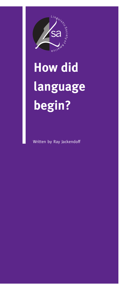

# **How did language begin?**

Written by Ray Jackendoff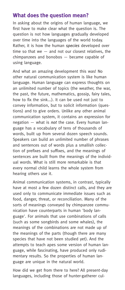### **What does the question mean?**

In asking about the origins of human language, we first have to make clear what the question is. The question is not how languages gradually developed over time into the languages of the world today. Rather, it is how the human *species* developed over time so that we  $-$  and not our closest relatives, the chimpanzees and bonobos — became capable of using language.

And what an amazing development this was! No other natural communication system is like human language. Human language can express thoughts on an unlimited number of topics (the weather, the war, the past, the future, mathematics, gossip, fairy tales, how to fix the sink...). It can be used not just to convey information, but to solicit information (questions) and to give orders. Unlike any other animal communication system, it contains an expression for negation — what is *not* the case. Every human language has a vocabulary of tens of thousands of words, built up from several dozen speech sounds. Speakers can build an unlimited number of phrases and sentences out of words plus a smallish collection of prefixes and suffixes, and the meanings of sentences are built from the meanings of the individual words. What is still more remarkable is that every normal child learns the whole system from hearing others use it.

Animal communication systems, in contrast, typically have at most a few dozen distinct calls, and they are used only to communicate immediate issues such as food, danger, threat, or reconciliation. Many of the sorts of meanings conveyed by chimpanzee communication have counterparts in human 'body language'. For animals that use combinations of calls (such as some songbirds and some whales), the meanings of the combinations are not made up of the meanings of the parts (though there are many species that have not been studied yet). And the attempts to teach apes some version of human language, while fascinating, have produced only rudimentary results. So the properties of human language are unique in the natural world.

How did we get from there to here? All present-day languages, including those of hunter-gatherer cul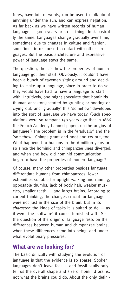tures, have lots of words, can be used to talk about anything under the sun, and can express negation. As far back as we have written records of human language  $-$  5000 years or so  $-$  things look basically the same. Languages change gradually over time, sometimes due to changes in culture and fashion, sometimes in response to contact with other languages. But the basic architecture and expressive power of language stays the same.

The question, then, is how the properties of human language got their start. Obviously, it couldn't have been a bunch of cavemen sitting around and deciding to make up a language, since in order to do so, they would have had to have a language to start with! Intuitively, one might speculate that hominids (human ancestors) started by grunting or hooting or crying out, and 'gradually' this 'somehow' developed into the sort of language we have today. (Such speculations were so rampant 150 years ago that in 1866 the French Academy banned papers on the origins of language!) The problem is in the 'gradually' and the 'somehow'. Chimps grunt and hoot and cry out, too. What happened to humans in the 6 million years or so since the hominid and chimpanzee lines diverged, and when and how did hominid communication begin to have the properties of modern language?

Of course, many other properties besides language differentiate humans from chimpanzees: lower extremities suitable for upright walking and running, opposable thumbs, lack of body hair, weaker muscles, smaller teeth — and larger brains. According to current thinking, the changes crucial for language were not just in the size of the brain, but in its *character*: the kinds of tasks it is suited to do — as it were, the 'software' it comes furnished with. So the question of the origin of language rests on the differences between human and chimpanzee brains, when these differences came into being, and under what evolutionary pressures.

#### **What are we looking for?**

The basic difficulty with studying the evolution of language is that the evidence is so sparse. Spoken languages don't leave fossils, and fossil skulls only tell us the overall shape and size of hominid brains, not what the brains could do. About the only defini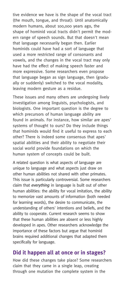tive evidence we have is the shape of the vocal tract (the mouth, tongue, and throat): Until anatomically modern humans, about 100,000 years ago, the shape of hominid vocal tracts didn't permit the modern range of speech sounds. But that doesn't mean that language necessarily began then. Earlier hominids could have had a sort of language that used a more restricted range of consonants and vowels, and the changes in the vocal tract may only have had the effect of making speech faster and more expressive. Some researchers even propose that language began as sign language, then (gradually or suddenly) switched to the vocal modality, leaving modern gesture as a residue.

These issues and many others are undergoing lively investigation among linguists, psychologists, and biologists. One important question is the degree to which precursors of human language ability are found in animals. For instance, how similar are apes' systems of thought to ours? Do they include things that hominids would find it useful to express to each other? There is indeed some consensus that apes' spatial abilities and their ability to negotiate their social world provide foundations on which the human system of concepts could be built.

A related question is what aspects of language are unique to language and what aspects just draw on other human abilities not shared with other primates. This issue is particularly controversial. Some researchers claim that *everything* in language is built out of other human abilities: the ability for vocal imitation, the ability to memorize vast amounts of information (both needed for learning words), the desire to communicate, the understanding of others' intentions and beliefs, and the ability to cooperate. Current research seems to show that these human abilities are absent or less highly developed in apes. Other researchers acknowledge the importance of these factors but argue that hominid brains required additional changes that adapted them specifically for language.

## **Did it happen all at once or in stages?**

How did these changes take place? Some researchers claim that they came in a single leap, creating through one mutation the complete system in the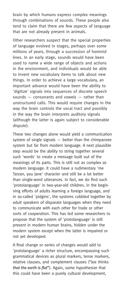brain by which humans express complex meanings through combinations of sounds. These people also tend to claim that there are few aspects of language that are not already present in animals.

Other researchers suspect that the special properties of language evolved in stages, perhaps over some millions of years, through a succession of hominid lines. In an early stage, sounds would have been used to name a wide range of objects and actions in the environment, and individuals would be able to invent new vocabulary items to talk about new things. In order to achieve a large vocabulary, an important advance would have been the ability to 'digitize' signals into sequences of discrete speech sounds — consonants and vowels — rather than unstructured calls. This would require changes in the way the brain controls the vocal tract and possibly in the way the brain interprets auditory signals (although the latter is again subject to considerable dispute).

These two changes alone would yield a communication system of single signals — better than the chimpanzee system but far from modern language. A next plausible step would be the ability to string together several such 'words' to create a message built out of the meanings of its parts. This is still not as complex as modern language. It could have a rudimentary 'me Tarzan, you Jane' character and still be a lot better than single-word utterances. In fact, we do find such 'protolanguage' in two-year-old children, in the beginning efforts of adults learning a foreign language, and in so-called 'pidgins', the systems cobbled together by adult speakers of disparate languages when they need to communicate with each other for trade or other sorts of cooperation. This has led some researchers to propose that the system of 'protolanguage' is still present in modern human brains, hidden under the modern system except when the latter is impaired or not yet developed.

A final change or series of changes would add to 'protolanguage' a richer structure, encompassing such grammatical devices as plural markers, tense markers, relative clauses, and complement clauses ("Joe thinks *that the earth is flat*"). Again, some hypothesize that this could have been a purely cultural development,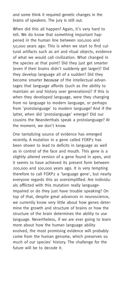and some think it required genetic changes in the brains of speakers. The jury is still out.

When did this all happen? Again, it's very hard to tell. We do know that something important happened in the human line between 100,000 and 50,000 years ago: This is when we start to find cultural artifacts such as art and ritual objects, evidence of what we would call civilization. What changed in the species at that point? Did they just get smarter (even if their brains didn't suddenly get larger)? Did they develop language all of a sudden? Did they become smarter *because* of the intellectual advantages that language affords (such as the ability to maintain an oral history over generations)? If this is when they developed language, were they changing from no language to modern language, or perhaps from 'protolanguage' to modern language? And if the latter, when did 'protolanguage' emerge? Did our cousins the Neanderthals speak a protolanguage? At the moment, we don't know.

One tantalizing source of evidence has emerged recently. A mutation in a gene called FOXP2 has been shown to lead to deficits in language as well as in control of the face and mouth. This gene is a slightly altered version of a gene found in apes, and it seems to have achieved its present form between 200,000 and 100,000 years ago. It is very tempting therefore to call FOXP2 a 'language gene', but nearly everyone regards this as oversimplified. Are individuals afflicted with this mutation really languageimpaired or do they just have trouble speaking? On top of that, despite great advances in neuroscience, we currently know very little about how genes determine the growth and structure of brains or how the structure of the brain determines the ability to use language. Nevertheless, if we are ever going to learn more about how the human language ability evolved, the most promising evidence will probably come from the human genome, which preserves so much of our species' history. The challenge for the future will be to decode it.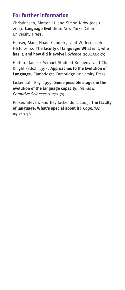# **For further information**

Christiansen, Morton H. and Simon Kirby (eds.). 2003. **Language Evolution**. New York: Oxford University Press.

Hauser, Marc; Noam Chomsky; and W. Tecumseh Fitch. 2002. **The faculty of language: What is it, who has it, and how did it evolve?** *Science* 298.1569-79.

Hurford, James; Michael Studdert-Kennedy; and Chris Knight (eds.). 1998. **Approaches to the Evolution of Language.** Cambridge: Cambridge University Press.

Jackendoff, Ray. 1999. **Some possible stages in the evolution of the language capacity**, *Trends in Cognitive Sciences* 3.272-79.

Pinker, Steven, and Ray Jackendoff. 2005. **The faculty of language: What's special about it?** *Cognition* 95.210-36.